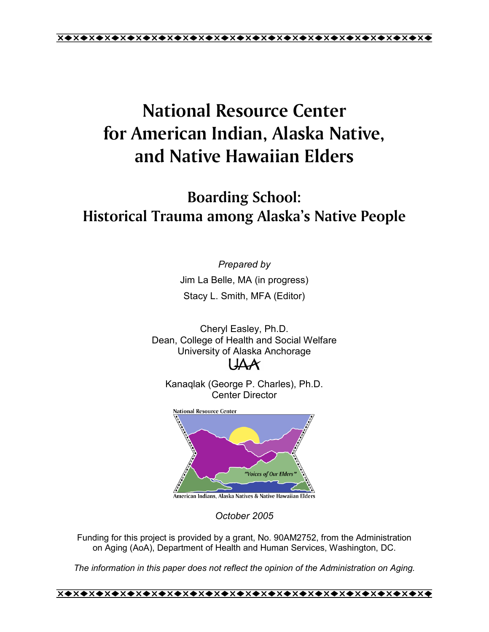# **National Resource Center for American Indian, Alaska Native, and Native Hawaiian Elders**

## **Boarding School: Historical Trauma among Alaskaís Native People**

*Prepared by* 

Jim La Belle, MA (in progress) Stacy L. Smith, MFA (Editor)

Cheryl Easley, Ph.D. Dean, College of Health and Social Welfare University of Alaska Anchorage  $\mathsf{I}\mathsf{A}\mathsf{A}$ 

Kanaqlak (George P. Charles), Ph.D. Center Director



*October 2005* 

Funding for this project is provided by a grant, No. 90AM2752, from the Administration on Aging (AoA), Department of Health and Human Services, Washington, DC.

*The information in this paper does not reflect the opinion of the Administration on Aging.*

1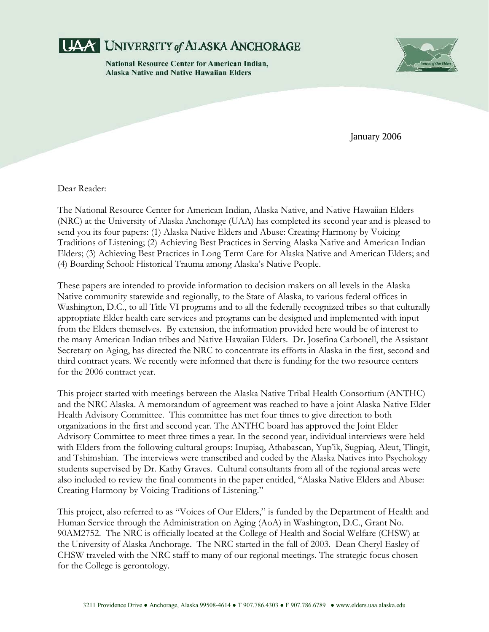

**National Resource Center for American Indian, Alaska Native and Native Hawaiian Elders** 



January 2006

Dear Reader:

The National Resource Center for American Indian, Alaska Native, and Native Hawaiian Elders (NRC) at the University of Alaska Anchorage (UAA) has completed its second year and is pleased to send you its four papers: (1) Alaska Native Elders and Abuse: Creating Harmony by Voicing Traditions of Listening; (2) Achieving Best Practices in Serving Alaska Native and American Indian Elders; (3) Achieving Best Practices in Long Term Care for Alaska Native and American Elders; and (4) Boarding School: Historical Trauma among Alaska's Native People.

These papers are intended to provide information to decision makers on all levels in the Alaska Native community statewide and regionally, to the State of Alaska, to various federal offices in Washington, D.C., to all Title VI programs and to all the federally recognized tribes so that culturally appropriate Elder health care services and programs can be designed and implemented with input from the Elders themselves. By extension, the information provided here would be of interest to the many American Indian tribes and Native Hawaiian Elders. Dr. Josefina Carbonell, the Assistant Secretary on Aging, has directed the NRC to concentrate its efforts in Alaska in the first, second and third contract years. We recently were informed that there is funding for the two resource centers for the 2006 contract year.

This project started with meetings between the Alaska Native Tribal Health Consortium (ANTHC) and the NRC Alaska. A memorandum of agreement was reached to have a joint Alaska Native Elder Health Advisory Committee. This committee has met four times to give direction to both organizations in the first and second year. The ANTHC board has approved the Joint Elder Advisory Committee to meet three times a year. In the second year, individual interviews were held with Elders from the following cultural groups: Inupiaq, Athabascan, Yup'ik, Sugpiaq, Aleut, Tlingit, and Tshimshian. The interviews were transcribed and coded by the Alaska Natives into Psychology students supervised by Dr. Kathy Graves. Cultural consultants from all of the regional areas were also included to review the final comments in the paper entitled, "Alaska Native Elders and Abuse: Creating Harmony by Voicing Traditions of Listening."

This project, also referred to as "Voices of Our Elders," is funded by the Department of Health and Human Service through the Administration on Aging (AoA) in Washington, D.C., Grant No. 90AM2752. The NRC is officially located at the College of Health and Social Welfare (CHSW) at the University of Alaska Anchorage. The NRC started in the fall of 2003. Dean Cheryl Easley of CHSW traveled with the NRC staff to many of our regional meetings. The strategic focus chosen for the College is gerontology.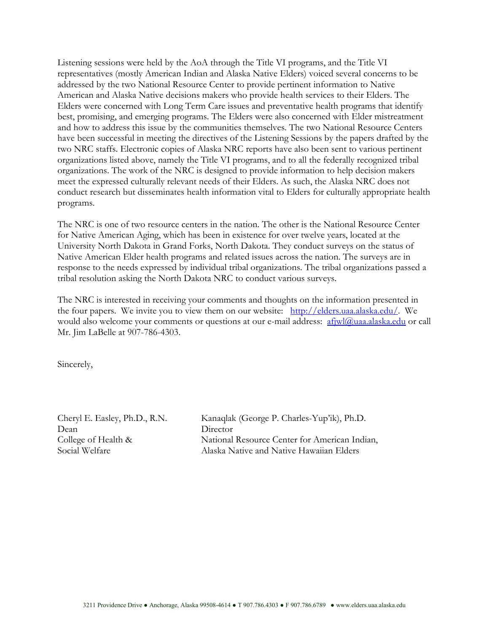Listening sessions were held by the AoA through the Title VI programs, and the Title VI representatives (mostly American Indian and Alaska Native Elders) voiced several concerns to be addressed by the two National Resource Center to provide pertinent information to Native American and Alaska Native decisions makers who provide health services to their Elders. The Elders were concerned with Long Term Care issues and preventative health programs that identify best, promising, and emerging programs. The Elders were also concerned with Elder mistreatment and how to address this issue by the communities themselves. The two National Resource Centers have been successful in meeting the directives of the Listening Sessions by the papers drafted by the two NRC staffs. Electronic copies of Alaska NRC reports have also been sent to various pertinent organizations listed above, namely the Title VI programs, and to all the federally recognized tribal organizations. The work of the NRC is designed to provide information to help decision makers meet the expressed culturally relevant needs of their Elders. As such, the Alaska NRC does not conduct research but disseminates health information vital to Elders for culturally appropriate health programs.

The NRC is one of two resource centers in the nation. The other is the National Resource Center for Native American Aging, which has been in existence for over twelve years, located at the University North Dakota in Grand Forks, North Dakota. They conduct surveys on the status of Native American Elder health programs and related issues across the nation. The surveys are in response to the needs expressed by individual tribal organizations. The tribal organizations passed a tribal resolution asking the North Dakota NRC to conduct various surveys.

The NRC is interested in receiving your comments and thoughts on the information presented in the four papers. We invite you to view them on our website: http://elders.uaa.alaska.edu/. We would also welcome your comments or questions at our e-mail address: afjwl@uaa.alaska.edu or call Mr. Jim LaBelle at 907-786-4303.

Sincerely,

Dean Director

Cheryl E. Easley, Ph.D., R.N. Kanaqlak (George P. Charles-Yupíik), Ph.D. College of Health & National Resource Center for American Indian, Social Welfare Alaska Native and Native Hawaiian Elders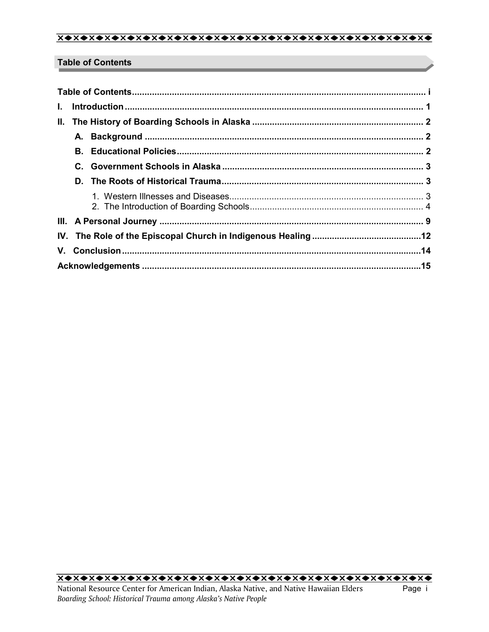## **Table of Contents**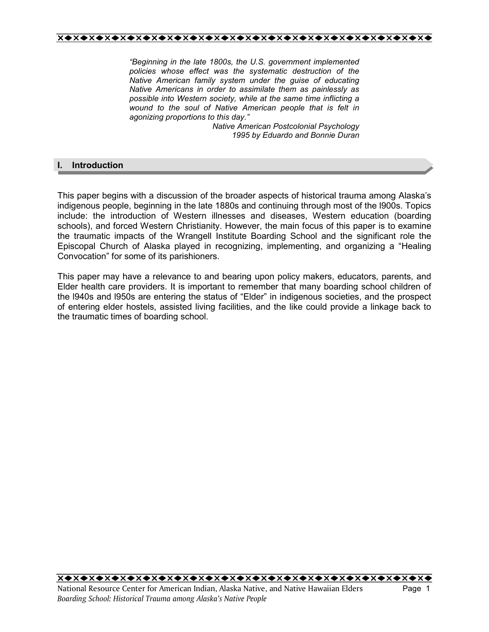*ìBeginning in the late 1800s, the U.S. government implemented policies whose effect was the systematic destruction of the Native American family system under the guise of educating Native Americans in order to assimilate them as painlessly as possible into Western society, while at the same time inflicting a wound to the soul of Native American people that is felt in agonizing proportions to this day.î* 

> *Native American Postcolonial Psychology 1995 by Eduardo and Bonnie Duran*

## **I. Introduction**

This paper begins with a discussion of the broader aspects of historical trauma among Alaskaís indigenous people, beginning in the late 1880s and continuing through most of the l900s. Topics include: the introduction of Western illnesses and diseases, Western education (boarding schools), and forced Western Christianity. However, the main focus of this paper is to examine the traumatic impacts of the Wrangell Institute Boarding School and the significant role the Episcopal Church of Alaska played in recognizing, implementing, and organizing a "Healing Convocation" for some of its parishioners.

This paper may have a relevance to and bearing upon policy makers, educators, parents, and Elder health care providers. It is important to remember that many boarding school children of the I940s and I950s are entering the status of "Elder" in indigenous societies, and the prospect of entering elder hostels, assisted living facilities, and the like could provide a linkage back to the traumatic times of boarding school.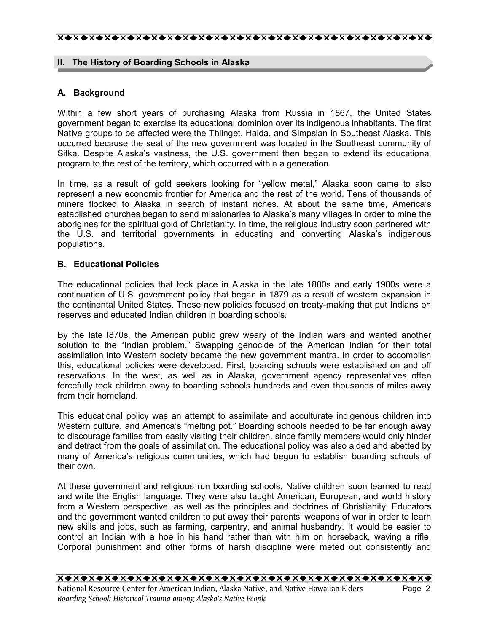## **II. The History of Boarding Schools in Alaska**

## **A. Background**

Within a few short years of purchasing Alaska from Russia in 1867, the United States government began to exercise its educational dominion over its indigenous inhabitants. The first Native groups to be affected were the Thlinget, Haida, and Simpsian in Southeast Alaska. This occurred because the seat of the new government was located in the Southeast community of Sitka. Despite Alaskaís vastness, the U.S. government then began to extend its educational program to the rest of the territory, which occurred within a generation.

In time, as a result of gold seekers looking for "yellow metal," Alaska soon came to also represent a new economic frontier for America and the rest of the world. Tens of thousands of miners flocked to Alaska in search of instant riches. At about the same time, Americaís established churches began to send missionaries to Alaska's many villages in order to mine the aborigines for the spiritual gold of Christianity. In time, the religious industry soon partnered with the U.S. and territorial governments in educating and converting Alaskaís indigenous populations.

## **B. Educational Policies**

The educational policies that took place in Alaska in the late 1800s and early 1900s were a continuation of U.S. government policy that began in 1879 as a result of western expansion in the continental United States. These new policies focused on treaty-making that put Indians on reserves and educated Indian children in boarding schools.

By the late l870s, the American public grew weary of the Indian wars and wanted another solution to the "Indian problem." Swapping genocide of the American Indian for their total assimilation into Western society became the new government mantra. In order to accomplish this, educational policies were developed. First, boarding schools were established on and off reservations. In the west, as well as in Alaska, government agency representatives often forcefully took children away to boarding schools hundreds and even thousands of miles away from their homeland.

This educational policy was an attempt to assimilate and acculturate indigenous children into Western culture, and America's "melting pot." Boarding schools needed to be far enough away to discourage families from easily visiting their children, since family members would only hinder and detract from the goals of assimilation. The educational policy was also aided and abetted by many of Americaís religious communities, which had begun to establish boarding schools of their own.

At these government and religious run boarding schools, Native children soon learned to read and write the English language. They were also taught American, European, and world history from a Western perspective, as well as the principles and doctrines of Christianity. Educators and the government wanted children to put away their parents' weapons of war in order to learn new skills and jobs, such as farming, carpentry, and animal husbandry. It would be easier to control an Indian with a hoe in his hand rather than with him on horseback, waving a rifle. Corporal punishment and other forms of harsh discipline were meted out consistently and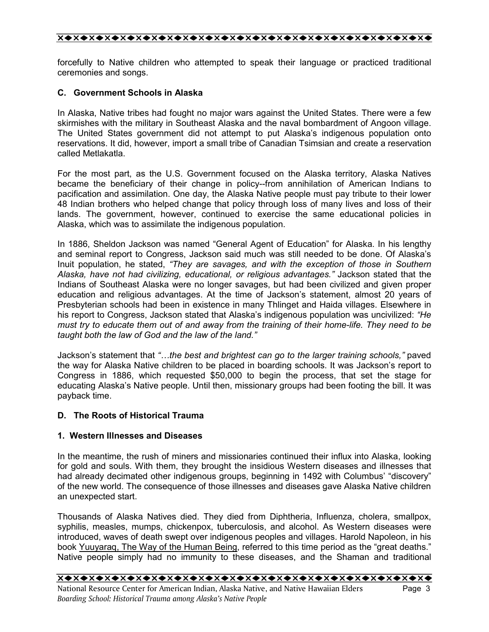forcefully to Native children who attempted to speak their language or practiced traditional ceremonies and songs.

## **C. Government Schools in Alaska**

In Alaska, Native tribes had fought no major wars against the United States. There were a few skirmishes with the military in Southeast Alaska and the naval bombardment of Angoon village. The United States government did not attempt to put Alaskaís indigenous population onto reservations. It did, however, import a small tribe of Canadian Tsimsian and create a reservation called Metlakatla.

For the most part, as the U.S. Government focused on the Alaska territory, Alaska Natives became the beneficiary of their change in policy--from annihilation of American Indians to pacification and assimilation. One day, the Alaska Native people must pay tribute to their lower 48 Indian brothers who helped change that policy through loss of many lives and loss of their lands. The government, however, continued to exercise the same educational policies in Alaska, which was to assimilate the indigenous population.

In 1886, Sheldon Jackson was named "General Agent of Education" for Alaska. In his lengthy and seminal report to Congress, Jackson said much was still needed to be done. Of Alaskaís Inuit population, he stated, "They are savages, and with the exception of those in Southern *Alaska, have not had civilizing, educational, or religious advantages.î* Jackson stated that the Indians of Southeast Alaska were no longer savages, but had been civilized and given proper education and religious advantages. At the time of Jackson's statement, almost 20 years of Presbyterian schools had been in existence in many Thlinget and Haida villages. Elsewhere in his report to Congress, Jackson stated that Alaskaís indigenous population was uncivilized: *ìHe must try to educate them out of and away from the training of their home-life. They need to be taught both the law of God and the law of the land.î*

Jackson's statement that "...the best and brightest can go to the larger training schools," paved the way for Alaska Native children to be placed in boarding schools. It was Jacksonís report to Congress in 1886, which requested \$50,000 to begin the process, that set the stage for educating Alaskaís Native people. Until then, missionary groups had been footing the bill. It was payback time.

## **D. The Roots of Historical Trauma**

## **1. Western Illnesses and Diseases**

In the meantime, the rush of miners and missionaries continued their influx into Alaska, looking for gold and souls. With them, they brought the insidious Western diseases and illnesses that had already decimated other indigenous groups, beginning in 1492 with Columbus' "discovery" of the new world. The consequence of those illnesses and diseases gave Alaska Native children an unexpected start.

Thousands of Alaska Natives died. They died from Diphtheria, Influenza, cholera, smallpox, syphilis, measles, mumps, chickenpox, tuberculosis, and alcohol. As Western diseases were introduced, waves of death swept over indigenous peoples and villages. Harold Napoleon, in his book Yuuyaraq, The Way of the Human Being, referred to this time period as the "great deaths." Native people simply had no immunity to these diseases, and the Shaman and traditional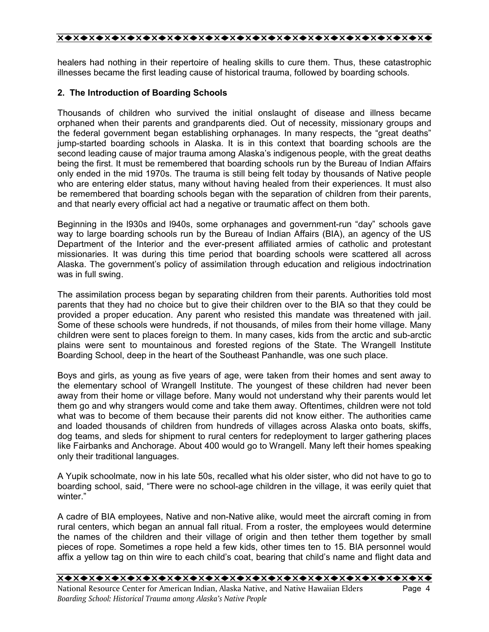healers had nothing in their repertoire of healing skills to cure them. Thus, these catastrophic illnesses became the first leading cause of historical trauma, followed by boarding schools.

## **2. The Introduction of Boarding Schools**

Thousands of children who survived the initial onslaught of disease and illness became orphaned when their parents and grandparents died. Out of necessity, missionary groups and the federal government began establishing orphanages. In many respects, the "great deaths" jump-started boarding schools in Alaska. It is in this context that boarding schools are the second leading cause of major trauma among Alaska's indigenous people, with the great deaths being the first. It must be remembered that boarding schools run by the Bureau of Indian Affairs only ended in the mid 1970s. The trauma is still being felt today by thousands of Native people who are entering elder status, many without having healed from their experiences. It must also be remembered that boarding schools began with the separation of children from their parents, and that nearly every official act had a negative or traumatic affect on them both.

Beginning in the I930s and I940s, some orphanages and government-run "day" schools gave way to large boarding schools run by the Bureau of Indian Affairs (BIA), an agency of the US Department of the Interior and the ever-present affiliated armies of catholic and protestant missionaries. It was during this time period that boarding schools were scattered all across Alaska. The government's policy of assimilation through education and religious indoctrination was in full swing.

The assimilation process began by separating children from their parents. Authorities told most parents that they had no choice but to give their children over to the BIA so that they could be provided a proper education. Any parent who resisted this mandate was threatened with jail. Some of these schools were hundreds, if not thousands, of miles from their home village. Many children were sent to places foreign to them. In many cases, kids from the arctic and sub-arctic plains were sent to mountainous and forested regions of the State. The Wrangell Institute Boarding School, deep in the heart of the Southeast Panhandle, was one such place.

Boys and girls, as young as five years of age, were taken from their homes and sent away to the elementary school of Wrangell Institute. The youngest of these children had never been away from their home or village before. Many would not understand why their parents would let them go and why strangers would come and take them away. Oftentimes, children were not told what was to become of them because their parents did not know either. The authorities came and loaded thousands of children from hundreds of villages across Alaska onto boats, skiffs, dog teams, and sleds for shipment to rural centers for redeployment to larger gathering places like Fairbanks and Anchorage. About 400 would go to Wrangell. Many left their homes speaking only their traditional languages.

A Yupik schoolmate, now in his late 50s, recalled what his older sister, who did not have to go to boarding school, said, "There were no school-age children in the village, it was eerily quiet that winter."

A cadre of BIA employees, Native and non-Native alike, would meet the aircraft coming in from rural centers, which began an annual fall ritual. From a roster, the employees would determine the names of the children and their village of origin and then tether them together by small pieces of rope. Sometimes a rope held a few kids, other times ten to 15. BIA personnel would affix a yellow tag on thin wire to each child's coat, bearing that child's name and flight data and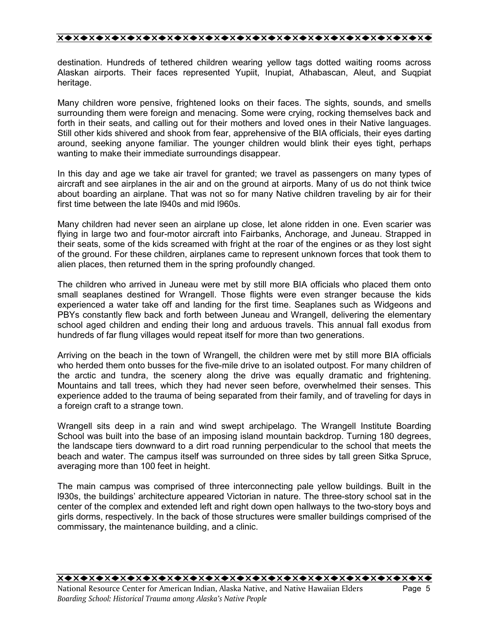destination. Hundreds of tethered children wearing yellow tags dotted waiting rooms across Alaskan airports. Their faces represented Yupiit, Inupiat, Athabascan, Aleut, and Suqpiat heritage.

Many children wore pensive, frightened looks on their faces. The sights, sounds, and smells surrounding them were foreign and menacing. Some were crying, rocking themselves back and forth in their seats, and calling out for their mothers and loved ones in their Native languages. Still other kids shivered and shook from fear, apprehensive of the BIA officials, their eyes darting around, seeking anyone familiar. The younger children would blink their eyes tight, perhaps wanting to make their immediate surroundings disappear.

In this day and age we take air travel for granted; we travel as passengers on many types of aircraft and see airplanes in the air and on the ground at airports. Many of us do not think twice about boarding an airplane. That was not so for many Native children traveling by air for their first time between the late l940s and mid l960s.

Many children had never seen an airplane up close, let alone ridden in one. Even scarier was flying in large two and four-motor aircraft into Fairbanks, Anchorage, and Juneau. Strapped in their seats, some of the kids screamed with fright at the roar of the engines or as they lost sight of the ground. For these children, airplanes came to represent unknown forces that took them to alien places, then returned them in the spring profoundly changed.

The children who arrived in Juneau were met by still more BIA officials who placed them onto small seaplanes destined for Wrangell. Those flights were even stranger because the kids experienced a water take off and landing for the first time. Seaplanes such as Widgeons and PBYs constantly flew back and forth between Juneau and Wrangell, delivering the elementary school aged children and ending their long and arduous travels. This annual fall exodus from hundreds of far flung villages would repeat itself for more than two generations.

Arriving on the beach in the town of Wrangell, the children were met by still more BIA officials who herded them onto busses for the five-mile drive to an isolated outpost. For many children of the arctic and tundra, the scenery along the drive was equally dramatic and frightening. Mountains and tall trees, which they had never seen before, overwhelmed their senses. This experience added to the trauma of being separated from their family, and of traveling for days in a foreign craft to a strange town.

Wrangell sits deep in a rain and wind swept archipelago. The Wrangell Institute Boarding School was built into the base of an imposing island mountain backdrop. Turning 180 degrees, the landscape tiers downward to a dirt road running perpendicular to the school that meets the beach and water. The campus itself was surrounded on three sides by tall green Sitka Spruce, averaging more than 100 feet in height.

The main campus was comprised of three interconnecting pale yellow buildings. Built in the l930s, the buildingsí architecture appeared Victorian in nature. The three-story school sat in the center of the complex and extended left and right down open hallways to the two-story boys and girls dorms, respectively. In the back of those structures were smaller buildings comprised of the commissary, the maintenance building, and a clinic.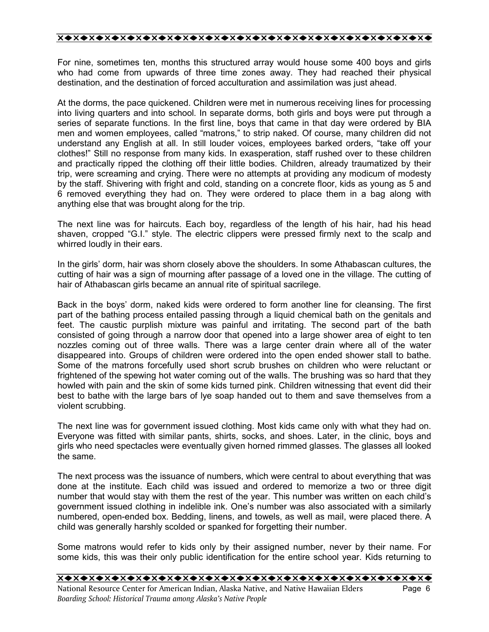For nine, sometimes ten, months this structured array would house some 400 boys and girls who had come from upwards of three time zones away. They had reached their physical destination, and the destination of forced acculturation and assimilation was just ahead.

At the dorms, the pace quickened. Children were met in numerous receiving lines for processing into living quarters and into school. In separate dorms, both girls and boys were put through a series of separate functions. In the first line, boys that came in that day were ordered by BIA men and women employees, called "matrons," to strip naked. Of course, many children did not understand any English at all. In still louder voices, employees barked orders, "take off your clothes!î Still no response from many kids. In exasperation, staff rushed over to these children and practically ripped the clothing off their little bodies. Children, already traumatized by their trip, were screaming and crying. There were no attempts at providing any modicum of modesty by the staff. Shivering with fright and cold, standing on a concrete floor, kids as young as 5 and 6 removed everything they had on. They were ordered to place them in a bag along with anything else that was brought along for the trip.

The next line was for haircuts. Each boy, regardless of the length of his hair, had his head shaven, cropped "G.I." style. The electric clippers were pressed firmly next to the scalp and whirred loudly in their ears.

In the girls' dorm, hair was shorn closely above the shoulders. In some Athabascan cultures, the cutting of hair was a sign of mourning after passage of a loved one in the village. The cutting of hair of Athabascan girls became an annual rite of spiritual sacrilege.

Back in the boys' dorm, naked kids were ordered to form another line for cleansing. The first part of the bathing process entailed passing through a liquid chemical bath on the genitals and feet. The caustic purplish mixture was painful and irritating. The second part of the bath consisted of going through a narrow door that opened into a large shower area of eight to ten nozzles coming out of three walls. There was a large center drain where all of the water disappeared into. Groups of children were ordered into the open ended shower stall to bathe. Some of the matrons forcefully used short scrub brushes on children who were reluctant or frightened of the spewing hot water coming out of the walls. The brushing was so hard that they howled with pain and the skin of some kids turned pink. Children witnessing that event did their best to bathe with the large bars of lye soap handed out to them and save themselves from a violent scrubbing.

The next line was for government issued clothing. Most kids came only with what they had on. Everyone was fitted with similar pants, shirts, socks, and shoes. Later, in the clinic, boys and girls who need spectacles were eventually given horned rimmed glasses. The glasses all looked the same.

The next process was the issuance of numbers, which were central to about everything that was done at the institute. Each child was issued and ordered to memorize a two or three digit number that would stay with them the rest of the year. This number was written on each child's government issued clothing in indelible ink. One's number was also associated with a similarly numbered, open-ended box. Bedding, linens, and towels, as well as mail, were placed there. A child was generally harshly scolded or spanked for forgetting their number.

Some matrons would refer to kids only by their assigned number, never by their name. For some kids, this was their only public identification for the entire school year. Kids returning to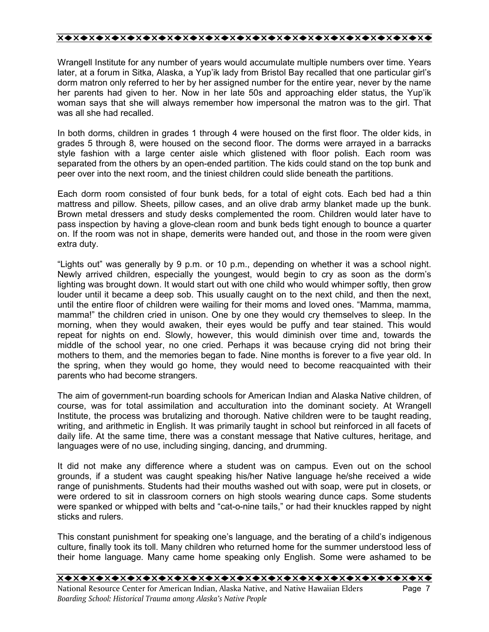Wrangell Institute for any number of years would accumulate multiple numbers over time. Years later, at a forum in Sitka, Alaska, a Yup'ik lady from Bristol Bay recalled that one particular girl's dorm matron only referred to her by her assigned number for the entire year, never by the name her parents had given to her. Now in her late 50s and approaching elder status, the Yupíik woman says that she will always remember how impersonal the matron was to the girl. That was all she had recalled.

In both dorms, children in grades 1 through 4 were housed on the first floor. The older kids, in grades 5 through 8, were housed on the second floor. The dorms were arrayed in a barracks style fashion with a large center aisle which glistened with floor polish. Each room was separated from the others by an open-ended partition. The kids could stand on the top bunk and peer over into the next room, and the tiniest children could slide beneath the partitions.

Each dorm room consisted of four bunk beds, for a total of eight cots. Each bed had a thin mattress and pillow. Sheets, pillow cases, and an olive drab army blanket made up the bunk. Brown metal dressers and study desks complemented the room. Children would later have to pass inspection by having a glove-clean room and bunk beds tight enough to bounce a quarter on. If the room was not in shape, demerits were handed out, and those in the room were given extra duty.

"Lights out" was generally by 9 p.m. or 10 p.m., depending on whether it was a school night. Newly arrived children, especially the youngest, would begin to cry as soon as the dormís lighting was brought down. It would start out with one child who would whimper softly, then grow louder until it became a deep sob. This usually caught on to the next child, and then the next, until the entire floor of children were wailing for their moms and loved ones. "Mamma, mamma, mamma!" the children cried in unison. One by one they would cry themselves to sleep. In the morning, when they would awaken, their eyes would be puffy and tear stained. This would repeat for nights on end. Slowly, however, this would diminish over time and, towards the middle of the school year, no one cried. Perhaps it was because crying did not bring their mothers to them, and the memories began to fade. Nine months is forever to a five year old. In the spring, when they would go home, they would need to become reacquainted with their parents who had become strangers.

The aim of government-run boarding schools for American Indian and Alaska Native children, of course, was for total assimilation and acculturation into the dominant society. At Wrangell Institute, the process was brutalizing and thorough. Native children were to be taught reading, writing, and arithmetic in English. It was primarily taught in school but reinforced in all facets of daily life. At the same time, there was a constant message that Native cultures, heritage, and languages were of no use, including singing, dancing, and drumming.

It did not make any difference where a student was on campus. Even out on the school grounds, if a student was caught speaking his/her Native language he/she received a wide range of punishments. Students had their mouths washed out with soap, were put in closets, or were ordered to sit in classroom corners on high stools wearing dunce caps. Some students were spanked or whipped with belts and "cat-o-nine tails," or had their knuckles rapped by night sticks and rulers.

This constant punishment for speaking one's language, and the berating of a child's indigenous culture, finally took its toll. Many children who returned home for the summer understood less of their home language. Many came home speaking only English. Some were ashamed to be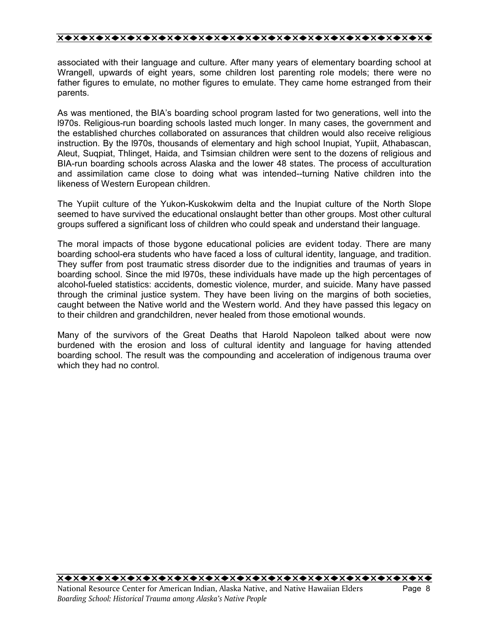associated with their language and culture. After many years of elementary boarding school at Wrangell, upwards of eight years, some children lost parenting role models; there were no father figures to emulate, no mother figures to emulate. They came home estranged from their parents.

As was mentioned, the BIAís boarding school program lasted for two generations, well into the l970s. Religious-run boarding schools lasted much longer. In many cases, the government and the established churches collaborated on assurances that children would also receive religious instruction. By the l970s, thousands of elementary and high school Inupiat, Yupiit, Athabascan, Aleut, Suqpiat, Thlinget, Haida, and Tsimsian children were sent to the dozens of religious and BIA-run boarding schools across Alaska and the lower 48 states. The process of acculturation and assimilation came close to doing what was intended--turning Native children into the likeness of Western European children.

The Yupiit culture of the Yukon-Kuskokwim delta and the Inupiat culture of the North Slope seemed to have survived the educational onslaught better than other groups. Most other cultural groups suffered a significant loss of children who could speak and understand their language.

The moral impacts of those bygone educational policies are evident today. There are many boarding school-era students who have faced a loss of cultural identity, language, and tradition. They suffer from post traumatic stress disorder due to the indignities and traumas of years in boarding school. Since the mid l970s, these individuals have made up the high percentages of alcohol-fueled statistics: accidents, domestic violence, murder, and suicide. Many have passed through the criminal justice system. They have been living on the margins of both societies, caught between the Native world and the Western world. And they have passed this legacy on to their children and grandchildren, never healed from those emotional wounds.

Many of the survivors of the Great Deaths that Harold Napoleon talked about were now burdened with the erosion and loss of cultural identity and language for having attended boarding school. The result was the compounding and acceleration of indigenous trauma over which they had no control.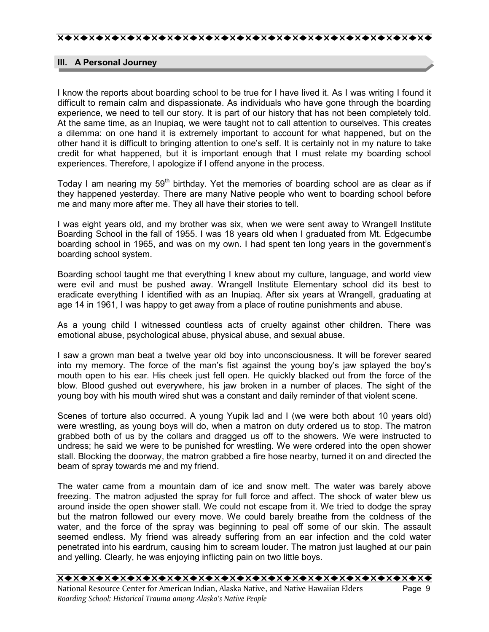## **III. A Personal Journey**

I know the reports about boarding school to be true for I have lived it. As I was writing I found it difficult to remain calm and dispassionate. As individuals who have gone through the boarding experience, we need to tell our story. It is part of our history that has not been completely told. At the same time, as an Inupiaq, we were taught not to call attention to ourselves. This creates a dilemma: on one hand it is extremely important to account for what happened, but on the other hand it is difficult to bringing attention to one's self. It is certainly not in my nature to take credit for what happened, but it is important enough that I must relate my boarding school experiences. Therefore, I apologize if I offend anyone in the process.

Today I am nearing my  $59<sup>th</sup>$  birthday. Yet the memories of boarding school are as clear as if they happened yesterday. There are many Native people who went to boarding school before me and many more after me. They all have their stories to tell.

I was eight years old, and my brother was six, when we were sent away to Wrangell Institute Boarding School in the fall of 1955. I was 18 years old when I graduated from Mt. Edgecumbe boarding school in 1965, and was on my own. I had spent ten long years in the governmentís boarding school system.

Boarding school taught me that everything I knew about my culture, language, and world view were evil and must be pushed away. Wrangell Institute Elementary school did its best to eradicate everything I identified with as an Inupiaq. After six years at Wrangell, graduating at age 14 in 1961, I was happy to get away from a place of routine punishments and abuse.

As a young child I witnessed countless acts of cruelty against other children. There was emotional abuse, psychological abuse, physical abuse, and sexual abuse.

I saw a grown man beat a twelve year old boy into unconsciousness. It will be forever seared into my memory. The force of the man's fist against the young boy's jaw splayed the boy's mouth open to his ear. His cheek just fell open. He quickly blacked out from the force of the blow. Blood gushed out everywhere, his jaw broken in a number of places. The sight of the young boy with his mouth wired shut was a constant and daily reminder of that violent scene.

Scenes of torture also occurred. A young Yupik lad and I (we were both about 10 years old) were wrestling, as young boys will do, when a matron on duty ordered us to stop. The matron grabbed both of us by the collars and dragged us off to the showers. We were instructed to undress; he said we were to be punished for wrestling. We were ordered into the open shower stall. Blocking the doorway, the matron grabbed a fire hose nearby, turned it on and directed the beam of spray towards me and my friend.

The water came from a mountain dam of ice and snow melt. The water was barely above freezing. The matron adjusted the spray for full force and affect. The shock of water blew us around inside the open shower stall. We could not escape from it. We tried to dodge the spray but the matron followed our every move. We could barely breathe from the coldness of the water, and the force of the spray was beginning to peal off some of our skin. The assault seemed endless. My friend was already suffering from an ear infection and the cold water penetrated into his eardrum, causing him to scream louder. The matron just laughed at our pain and yelling. Clearly, he was enjoying inflicting pain on two little boys.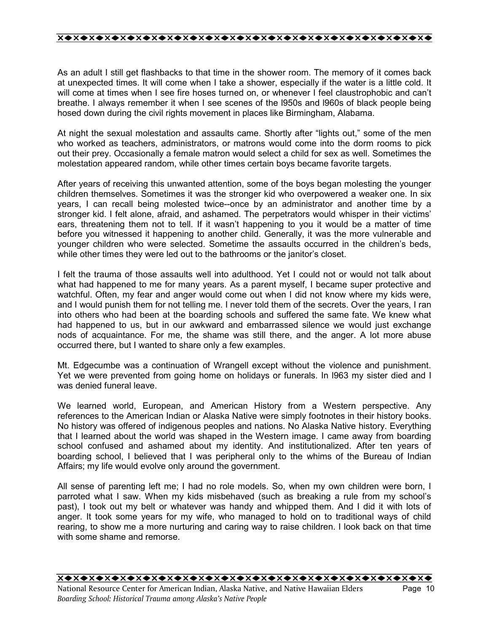As an adult I still get flashbacks to that time in the shower room. The memory of it comes back at unexpected times. It will come when I take a shower, especially if the water is a little cold. It will come at times when I see fire hoses turned on, or whenever I feel claustrophobic and can't breathe. I always remember it when I see scenes of the l950s and l960s of black people being hosed down during the civil rights movement in places like Birmingham, Alabama.

At night the sexual molestation and assaults came. Shortly after "lights out," some of the men who worked as teachers, administrators, or matrons would come into the dorm rooms to pick out their prey. Occasionally a female matron would select a child for sex as well. Sometimes the molestation appeared random, while other times certain boys became favorite targets.

After years of receiving this unwanted attention, some of the boys began molesting the younger children themselves. Sometimes it was the stronger kid who overpowered a weaker one. In six years, I can recall being molested twice--once by an administrator and another time by a stronger kid. I felt alone, afraid, and ashamed. The perpetrators would whisper in their victims' ears, threatening them not to tell. If it wasn't happening to you it would be a matter of time before you witnessed it happening to another child. Generally, it was the more vulnerable and younger children who were selected. Sometime the assaults occurred in the childrenís beds, while other times they were led out to the bathrooms or the janitor's closet.

I felt the trauma of those assaults well into adulthood. Yet I could not or would not talk about what had happened to me for many years. As a parent myself, I became super protective and watchful. Often, my fear and anger would come out when I did not know where my kids were, and I would punish them for not telling me. I never told them of the secrets. Over the years, I ran into others who had been at the boarding schools and suffered the same fate. We knew what had happened to us, but in our awkward and embarrassed silence we would just exchange nods of acquaintance. For me, the shame was still there, and the anger. A lot more abuse occurred there, but I wanted to share only a few examples.

Mt. Edgecumbe was a continuation of Wrangell except without the violence and punishment. Yet we were prevented from going home on holidays or funerals. In l963 my sister died and I was denied funeral leave.

We learned world, European, and American History from a Western perspective. Any references to the American Indian or Alaska Native were simply footnotes in their history books. No history was offered of indigenous peoples and nations. No Alaska Native history. Everything that I learned about the world was shaped in the Western image. I came away from boarding school confused and ashamed about my identity. And institutionalized. After ten years of boarding school, I believed that I was peripheral only to the whims of the Bureau of Indian Affairs; my life would evolve only around the government.

All sense of parenting left me; I had no role models. So, when my own children were born, I parroted what I saw. When my kids misbehaved (such as breaking a rule from my school's past), I took out my belt or whatever was handy and whipped them. And I did it with lots of anger. It took some years for my wife, who managed to hold on to traditional ways of child rearing, to show me a more nurturing and caring way to raise children. I look back on that time with some shame and remorse.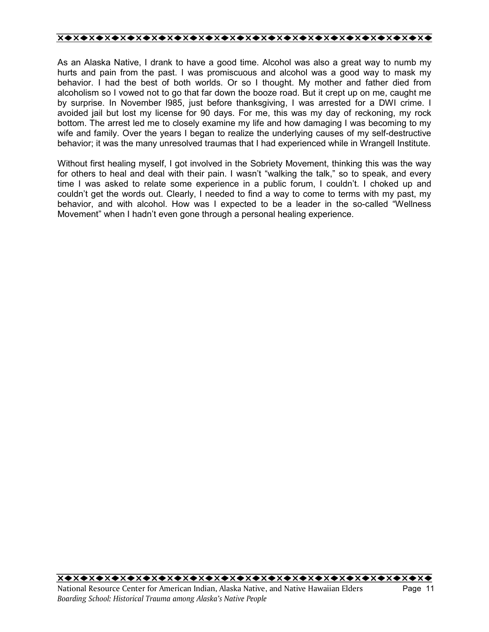As an Alaska Native, I drank to have a good time. Alcohol was also a great way to numb my hurts and pain from the past. I was promiscuous and alcohol was a good way to mask my behavior. I had the best of both worlds. Or so I thought. My mother and father died from alcoholism so I vowed not to go that far down the booze road. But it crept up on me, caught me by surprise. In November l985, just before thanksgiving, I was arrested for a DWI crime. I avoided jail but lost my license for 90 days. For me, this was my day of reckoning, my rock bottom. The arrest led me to closely examine my life and how damaging I was becoming to my wife and family. Over the years I began to realize the underlying causes of my self-destructive behavior; it was the many unresolved traumas that I had experienced while in Wrangell Institute.

Without first healing myself, I got involved in the Sobriety Movement, thinking this was the way for others to heal and deal with their pain. I wasn't "walking the talk," so to speak, and every time I was asked to relate some experience in a public forum, I couldnít. I choked up and couldnít get the words out. Clearly, I needed to find a way to come to terms with my past, my behavior, and with alcohol. How was I expected to be a leader in the so-called "Wellness Movement" when I hadn't even gone through a personal healing experience.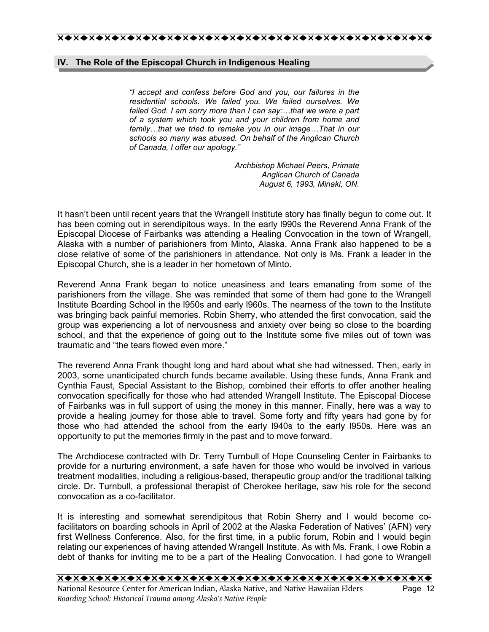## **IV. The Role of the Episcopal Church in Indigenous Healing**

*ìI accept and confess before God and you, our failures in the residential schools. We failed you. We failed ourselves. We failed God. I am sorry more than I can say:...that we were a part of a system which took you and your children from home and family...that we tried to remake you in our image...That in our schools so many was abused. On behalf of the Anglican Church of Canada, I offer our apology.î* 

> *Archbishop Michael Peers, Primate Anglican Church of Canada August 6, 1993, Minaki, ON.*

It hasnít been until recent years that the Wrangell Institute story has finally begun to come out. It has been coming out in serendipitous ways. In the early l990s the Reverend Anna Frank of the Episcopal Diocese of Fairbanks was attending a Healing Convocation in the town of Wrangell, Alaska with a number of parishioners from Minto, Alaska. Anna Frank also happened to be a close relative of some of the parishioners in attendance. Not only is Ms. Frank a leader in the Episcopal Church, she is a leader in her hometown of Minto.

Reverend Anna Frank began to notice uneasiness and tears emanating from some of the parishioners from the village. She was reminded that some of them had gone to the Wrangell Institute Boarding School in the l950s and early l960s. The nearness of the town to the Institute was bringing back painful memories. Robin Sherry, who attended the first convocation, said the group was experiencing a lot of nervousness and anxiety over being so close to the boarding school, and that the experience of going out to the Institute some five miles out of town was traumatic and "the tears flowed even more."

The reverend Anna Frank thought long and hard about what she had witnessed. Then, early in 2003, some unanticipated church funds became available. Using these funds, Anna Frank and Cynthia Faust, Special Assistant to the Bishop, combined their efforts to offer another healing convocation specifically for those who had attended Wrangell Institute. The Episcopal Diocese of Fairbanks was in full support of using the money in this manner. Finally, here was a way to provide a healing journey for those able to travel. Some forty and fifty years had gone by for those who had attended the school from the early l940s to the early l950s. Here was an opportunity to put the memories firmly in the past and to move forward.

The Archdiocese contracted with Dr. Terry Turnbull of Hope Counseling Center in Fairbanks to provide for a nurturing environment, a safe haven for those who would be involved in various treatment modalities, including a religious-based, therapeutic group and/or the traditional talking circle. Dr. Turnbull, a professional therapist of Cherokee heritage, saw his role for the second convocation as a co-facilitator.

It is interesting and somewhat serendipitous that Robin Sherry and I would become cofacilitators on boarding schools in April of 2002 at the Alaska Federation of Natives' (AFN) very first Wellness Conference. Also, for the first time, in a public forum, Robin and I would begin relating our experiences of having attended Wrangell Institute. As with Ms. Frank, I owe Robin a debt of thanks for inviting me to be a part of the Healing Convocation. I had gone to Wrangell

*Boarding School: Historical Trauma among Alaskaís Native People*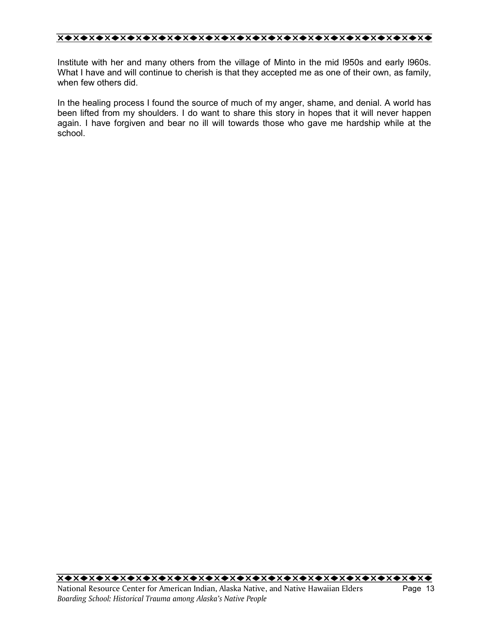Institute with her and many others from the village of Minto in the mid l950s and early l960s. What I have and will continue to cherish is that they accepted me as one of their own, as family, when few others did.

In the healing process I found the source of much of my anger, shame, and denial. A world has been lifted from my shoulders. I do want to share this story in hopes that it will never happen again. I have forgiven and bear no ill will towards those who gave me hardship while at the school.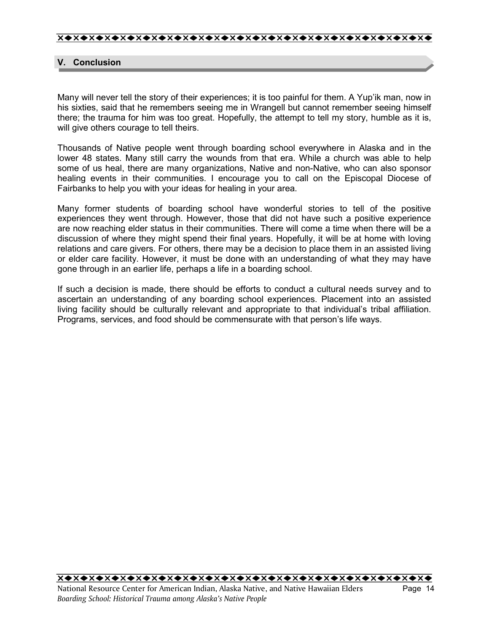## **V. Conclusion**

Many will never tell the story of their experiences; it is too painful for them. A Yup'ik man, now in his sixties, said that he remembers seeing me in Wrangell but cannot remember seeing himself there; the trauma for him was too great. Hopefully, the attempt to tell my story, humble as it is, will give others courage to tell theirs.

Thousands of Native people went through boarding school everywhere in Alaska and in the lower 48 states. Many still carry the wounds from that era. While a church was able to help some of us heal, there are many organizations, Native and non-Native, who can also sponsor healing events in their communities. I encourage you to call on the Episcopal Diocese of Fairbanks to help you with your ideas for healing in your area.

Many former students of boarding school have wonderful stories to tell of the positive experiences they went through. However, those that did not have such a positive experience are now reaching elder status in their communities. There will come a time when there will be a discussion of where they might spend their final years. Hopefully, it will be at home with loving relations and care givers. For others, there may be a decision to place them in an assisted living or elder care facility. However, it must be done with an understanding of what they may have gone through in an earlier life, perhaps a life in a boarding school.

If such a decision is made, there should be efforts to conduct a cultural needs survey and to ascertain an understanding of any boarding school experiences. Placement into an assisted living facility should be culturally relevant and appropriate to that individual's tribal affiliation. Programs, services, and food should be commensurate with that person's life ways.